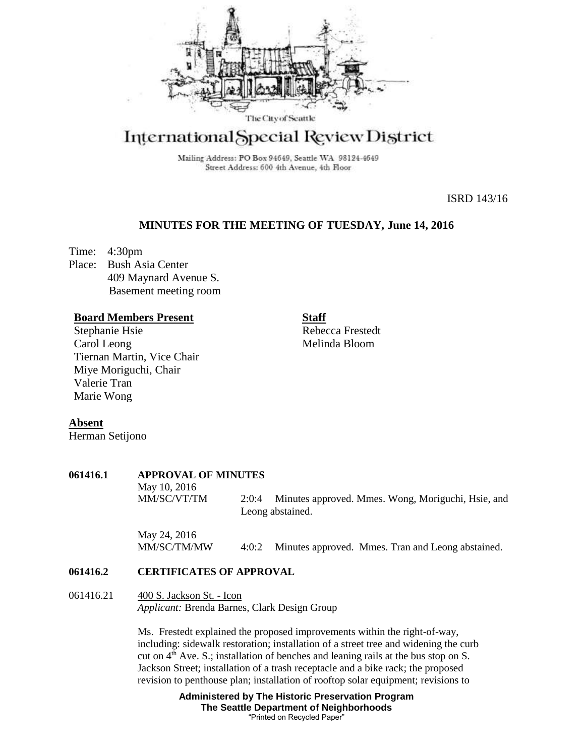

# International Special Review District

Mailing Address: PO Box 94649, Seattle WA 98124-4649 Street Address: 600 4th Avenue, 4th Floor

ISRD 143/16

## **MINUTES FOR THE MEETING OF TUESDAY, June 14, 2016**

Time: 4:30pm Place: Bush Asia Center 409 Maynard Avenue S. Basement meeting room

## **Board Members Present**

Stephanie Hsie Carol Leong Tiernan Martin, Vice Chair Miye Moriguchi, Chair Valerie Tran Marie Wong

**Staff**

Rebecca Frestedt Melinda Bloom

### **Absent**

Herman Setijono

### **061416.1 APPROVAL OF MINUTES**

May 10, 2016 MM/SC/VT/TM 2:0:4 Minutes approved. Mmes. Wong, Moriguchi, Hsie, and Leong abstained.

May 24, 2016 MM/SC/TM/MW 4:0:2 Minutes approved. Mmes. Tran and Leong abstained.

## **061416.2 CERTIFICATES OF APPROVAL**

## 061416.21 400 S. Jackson St. - Icon *Applicant:* Brenda Barnes, Clark Design Group

Ms. Frestedt explained the proposed improvements within the right-of-way, including: sidewalk restoration; installation of a street tree and widening the curb cut on  $4<sup>th</sup>$  Ave. S.; installation of benches and leaning rails at the bus stop on S. Jackson Street; installation of a trash receptacle and a bike rack; the proposed revision to penthouse plan; installation of rooftop solar equipment; revisions to

> **Administered by The Historic Preservation Program The Seattle Department of Neighborhoods** "Printed on Recycled Paper"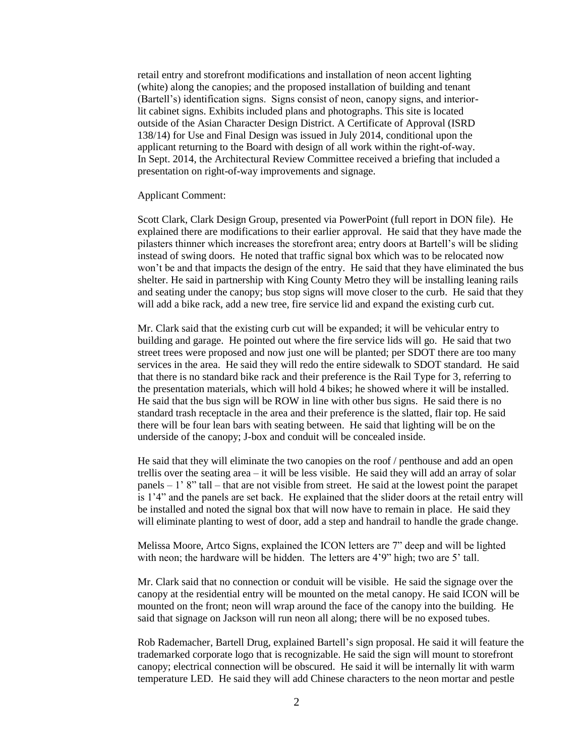retail entry and storefront modifications and installation of neon accent lighting (white) along the canopies; and the proposed installation of building and tenant (Bartell's) identification signs. Signs consist of neon, canopy signs, and interiorlit cabinet signs. Exhibits included plans and photographs. This site is located outside of the Asian Character Design District. A Certificate of Approval (ISRD 138/14) for Use and Final Design was issued in July 2014, conditional upon the applicant returning to the Board with design of all work within the right-of-way. In Sept. 2014, the Architectural Review Committee received a briefing that included a presentation on right-of-way improvements and signage.

#### Applicant Comment:

Scott Clark, Clark Design Group, presented via PowerPoint (full report in DON file). He explained there are modifications to their earlier approval. He said that they have made the pilasters thinner which increases the storefront area; entry doors at Bartell's will be sliding instead of swing doors. He noted that traffic signal box which was to be relocated now won't be and that impacts the design of the entry. He said that they have eliminated the bus shelter. He said in partnership with King County Metro they will be installing leaning rails and seating under the canopy; bus stop signs will move closer to the curb. He said that they will add a bike rack, add a new tree, fire service lid and expand the existing curb cut.

Mr. Clark said that the existing curb cut will be expanded; it will be vehicular entry to building and garage. He pointed out where the fire service lids will go. He said that two street trees were proposed and now just one will be planted; per SDOT there are too many services in the area. He said they will redo the entire sidewalk to SDOT standard. He said that there is no standard bike rack and their preference is the Rail Type for 3, referring to the presentation materials, which will hold 4 bikes; he showed where it will be installed. He said that the bus sign will be ROW in line with other bus signs. He said there is no standard trash receptacle in the area and their preference is the slatted, flair top. He said there will be four lean bars with seating between. He said that lighting will be on the underside of the canopy; J-box and conduit will be concealed inside.

He said that they will eliminate the two canopies on the roof / penthouse and add an open trellis over the seating area – it will be less visible. He said they will add an array of solar panels  $-1'$  8" tall – that are not visible from street. He said at the lowest point the parapet is 1'4" and the panels are set back. He explained that the slider doors at the retail entry will be installed and noted the signal box that will now have to remain in place. He said they will eliminate planting to west of door, add a step and handrail to handle the grade change.

Melissa Moore, Artco Signs, explained the ICON letters are 7" deep and will be lighted with neon; the hardware will be hidden. The letters are 4'9" high; two are 5' tall.

Mr. Clark said that no connection or conduit will be visible. He said the signage over the canopy at the residential entry will be mounted on the metal canopy. He said ICON will be mounted on the front; neon will wrap around the face of the canopy into the building. He said that signage on Jackson will run neon all along; there will be no exposed tubes.

Rob Rademacher, Bartell Drug, explained Bartell's sign proposal. He said it will feature the trademarked corporate logo that is recognizable. He said the sign will mount to storefront canopy; electrical connection will be obscured. He said it will be internally lit with warm temperature LED. He said they will add Chinese characters to the neon mortar and pestle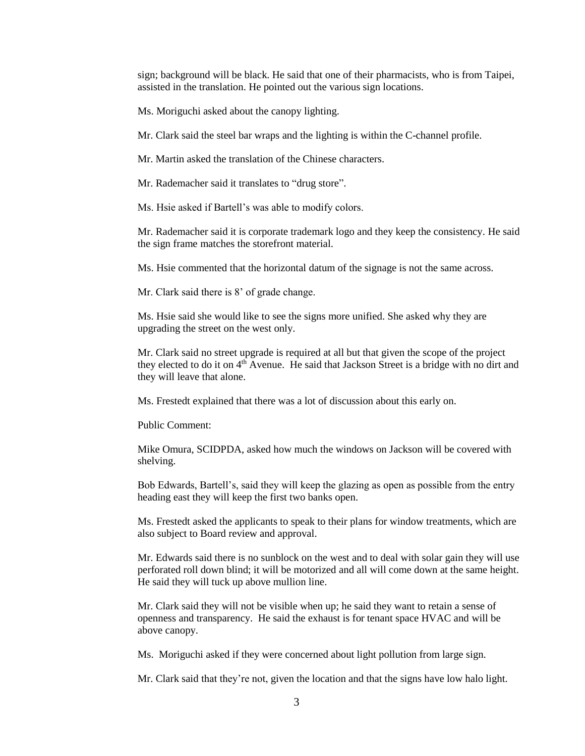sign; background will be black. He said that one of their pharmacists, who is from Taipei, assisted in the translation. He pointed out the various sign locations.

Ms. Moriguchi asked about the canopy lighting.

Mr. Clark said the steel bar wraps and the lighting is within the C-channel profile.

Mr. Martin asked the translation of the Chinese characters.

Mr. Rademacher said it translates to "drug store".

Ms. Hsie asked if Bartell's was able to modify colors.

Mr. Rademacher said it is corporate trademark logo and they keep the consistency. He said the sign frame matches the storefront material.

Ms. Hsie commented that the horizontal datum of the signage is not the same across.

Mr. Clark said there is 8' of grade change.

Ms. Hsie said she would like to see the signs more unified. She asked why they are upgrading the street on the west only.

Mr. Clark said no street upgrade is required at all but that given the scope of the project they elected to do it on 4<sup>th</sup> Avenue. He said that Jackson Street is a bridge with no dirt and they will leave that alone.

Ms. Frestedt explained that there was a lot of discussion about this early on.

Public Comment:

Mike Omura, SCIDPDA, asked how much the windows on Jackson will be covered with shelving.

Bob Edwards, Bartell's, said they will keep the glazing as open as possible from the entry heading east they will keep the first two banks open.

Ms. Frestedt asked the applicants to speak to their plans for window treatments, which are also subject to Board review and approval.

Mr. Edwards said there is no sunblock on the west and to deal with solar gain they will use perforated roll down blind; it will be motorized and all will come down at the same height. He said they will tuck up above mullion line.

Mr. Clark said they will not be visible when up; he said they want to retain a sense of openness and transparency. He said the exhaust is for tenant space HVAC and will be above canopy.

Ms. Moriguchi asked if they were concerned about light pollution from large sign.

Mr. Clark said that they're not, given the location and that the signs have low halo light.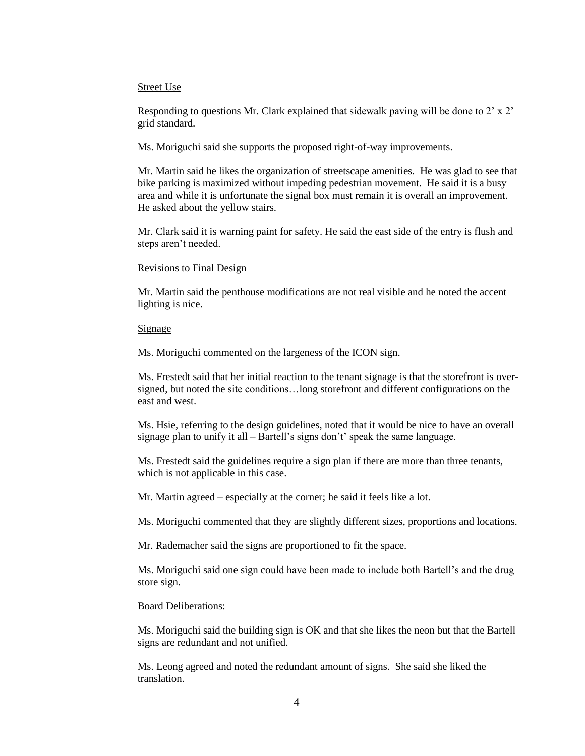#### Street Use

Responding to questions Mr. Clark explained that sidewalk paving will be done to 2' x 2' grid standard.

Ms. Moriguchi said she supports the proposed right-of-way improvements.

Mr. Martin said he likes the organization of streetscape amenities. He was glad to see that bike parking is maximized without impeding pedestrian movement. He said it is a busy area and while it is unfortunate the signal box must remain it is overall an improvement. He asked about the yellow stairs.

Mr. Clark said it is warning paint for safety. He said the east side of the entry is flush and steps aren't needed.

### Revisions to Final Design

Mr. Martin said the penthouse modifications are not real visible and he noted the accent lighting is nice.

#### Signage

Ms. Moriguchi commented on the largeness of the ICON sign.

Ms. Frestedt said that her initial reaction to the tenant signage is that the storefront is oversigned, but noted the site conditions…long storefront and different configurations on the east and west.

Ms. Hsie, referring to the design guidelines, noted that it would be nice to have an overall signage plan to unify it all – Bartell's signs don't' speak the same language.

Ms. Frestedt said the guidelines require a sign plan if there are more than three tenants, which is not applicable in this case.

Mr. Martin agreed – especially at the corner; he said it feels like a lot.

Ms. Moriguchi commented that they are slightly different sizes, proportions and locations.

Mr. Rademacher said the signs are proportioned to fit the space.

Ms. Moriguchi said one sign could have been made to include both Bartell's and the drug store sign.

Board Deliberations:

Ms. Moriguchi said the building sign is OK and that she likes the neon but that the Bartell signs are redundant and not unified.

Ms. Leong agreed and noted the redundant amount of signs. She said she liked the translation.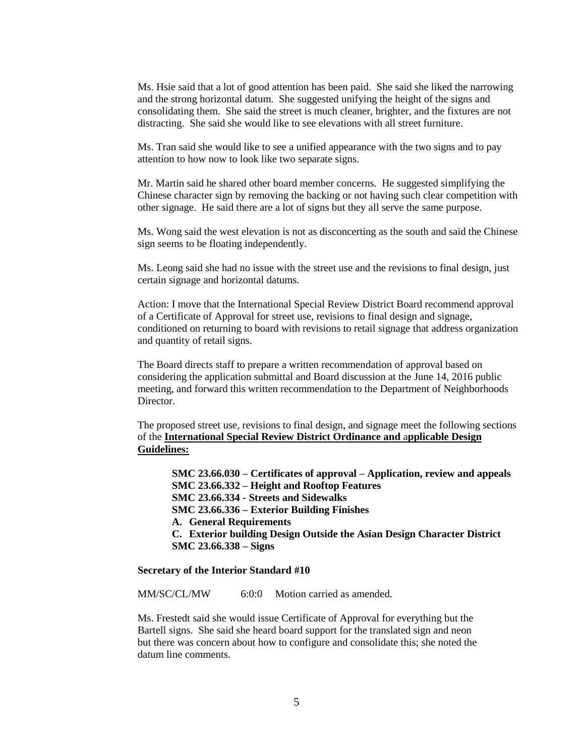Ms. Hsie said that a lot of good attention has been paid. She said she liked the narrowing and the strong horizontal datum. She suggested unifying the height of the signs and consolidating them. She said the street is much cleaner, brighter, and the fixtures are not distracting. She said she would like to see elevations with all street furniture.

Ms. Tran said she would like to see a unified appearance with the two signs and to pay attention to how now to look like two separate signs.

Mr. Martin said he shared other board member concerns. He suggested simplifying the Chinese character sign by removing the backing or not having such clear competition with other signage. He said there are a lot of signs but they all serve the same purpose.

Ms. Wong said the west elevation is not as disconcerting as the south and said the Chinese sign seems to be floating independently.

Ms. Leong said she had no issue with the street use and the revisions to final design, just certain signage and horizontal datums.

Action: I move that the International Special Review District Board recommend approval of a Certificate of Approval for street use, revisions to final design and signage, conditioned on returning to board with revisions to retail signage that address organization and quantity of retail signs.

The Board directs staff to prepare a written recommendation of approval based on considering the application submittal and Board discussion at the June 14, 2016 public meeting, and forward this written recommendation to the Department of Neighborhoods Director.

The proposed street use, revisions to final design, and signage meet the following sections of the **International Special Review District Ordinance and** a**pplicable Design Guidelines:**

**SMC 23.66.030 – Certificates of approval – Application, review and appeals SMC 23.66.332 – Height and Rooftop Features SMC 23.66.334 - Streets and Sidewalks SMC 23.66.336 – Exterior Building Finishes A. General Requirements C. Exterior building Design Outside the Asian Design Character District SMC 23.66.338 – Signs**

#### **Secretary of the Interior Standard #10**

MM/SC/CL/MW 6:0:0 Motion carried as amended.

Ms. Frestedt said she would issue Certificate of Approval for everything but the Bartell signs. She said she heard board support for the translated sign and neon but there was concern about how to configure and consolidate this; she noted the datum line comments.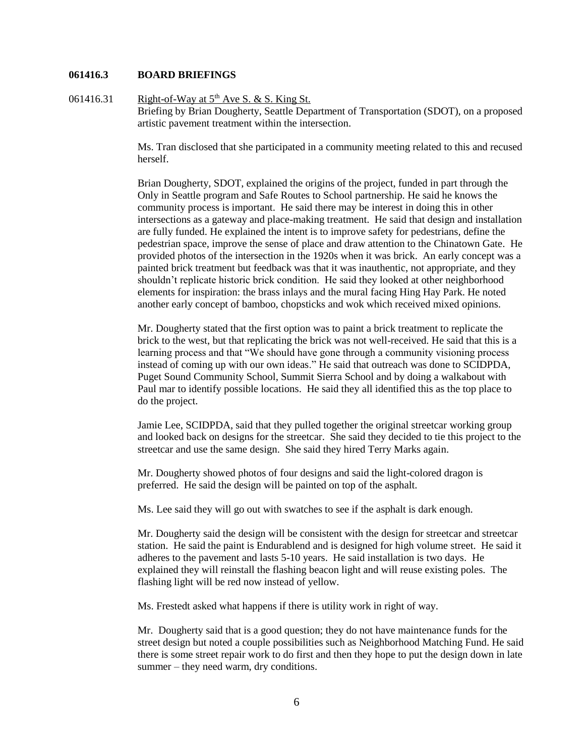#### **061416.3 BOARD BRIEFINGS**

061416.31 Right-of-Way at  $5<sup>th</sup>$  Ave S. & S. King St. Briefing by Brian Dougherty, Seattle Department of Transportation (SDOT), on a proposed artistic pavement treatment within the intersection.

> Ms. Tran disclosed that she participated in a community meeting related to this and recused herself.

> Brian Dougherty, SDOT, explained the origins of the project, funded in part through the Only in Seattle program and Safe Routes to School partnership. He said he knows the community process is important. He said there may be interest in doing this in other intersections as a gateway and place-making treatment. He said that design and installation are fully funded. He explained the intent is to improve safety for pedestrians, define the pedestrian space, improve the sense of place and draw attention to the Chinatown Gate. He provided photos of the intersection in the 1920s when it was brick. An early concept was a painted brick treatment but feedback was that it was inauthentic, not appropriate, and they shouldn't replicate historic brick condition. He said they looked at other neighborhood elements for inspiration: the brass inlays and the mural facing Hing Hay Park. He noted another early concept of bamboo, chopsticks and wok which received mixed opinions.

Mr. Dougherty stated that the first option was to paint a brick treatment to replicate the brick to the west, but that replicating the brick was not well-received. He said that this is a learning process and that "We should have gone through a community visioning process instead of coming up with our own ideas." He said that outreach was done to SCIDPDA, Puget Sound Community School, Summit Sierra School and by doing a walkabout with Paul mar to identify possible locations. He said they all identified this as the top place to do the project.

Jamie Lee, SCIDPDA, said that they pulled together the original streetcar working group and looked back on designs for the streetcar. She said they decided to tie this project to the streetcar and use the same design. She said they hired Terry Marks again.

Mr. Dougherty showed photos of four designs and said the light-colored dragon is preferred. He said the design will be painted on top of the asphalt.

Ms. Lee said they will go out with swatches to see if the asphalt is dark enough.

Mr. Dougherty said the design will be consistent with the design for streetcar and streetcar station. He said the paint is Endurablend and is designed for high volume street. He said it adheres to the pavement and lasts 5-10 years. He said installation is two days. He explained they will reinstall the flashing beacon light and will reuse existing poles. The flashing light will be red now instead of yellow.

Ms. Frestedt asked what happens if there is utility work in right of way.

Mr. Dougherty said that is a good question; they do not have maintenance funds for the street design but noted a couple possibilities such as Neighborhood Matching Fund. He said there is some street repair work to do first and then they hope to put the design down in late summer – they need warm, dry conditions.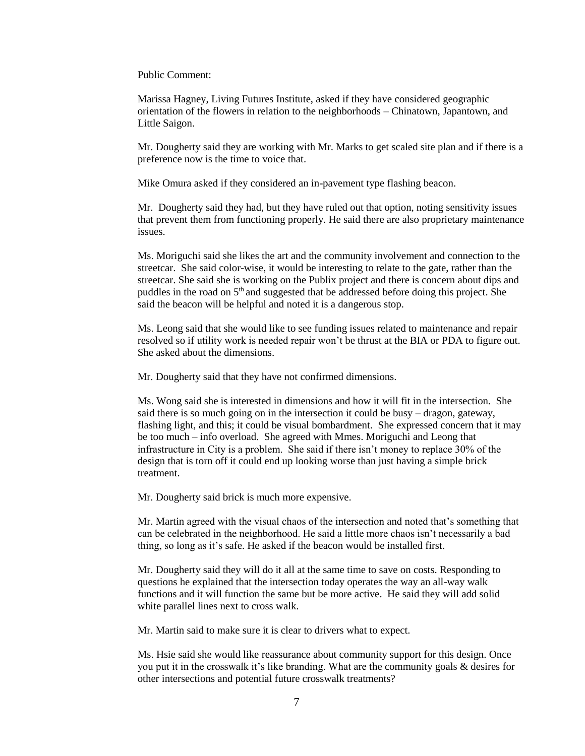Public Comment:

Marissa Hagney, Living Futures Institute, asked if they have considered geographic orientation of the flowers in relation to the neighborhoods – Chinatown, Japantown, and Little Saigon.

Mr. Dougherty said they are working with Mr. Marks to get scaled site plan and if there is a preference now is the time to voice that.

Mike Omura asked if they considered an in-pavement type flashing beacon.

Mr. Dougherty said they had, but they have ruled out that option, noting sensitivity issues that prevent them from functioning properly. He said there are also proprietary maintenance issues.

Ms. Moriguchi said she likes the art and the community involvement and connection to the streetcar. She said color-wise, it would be interesting to relate to the gate, rather than the streetcar. She said she is working on the Publix project and there is concern about dips and puddles in the road on  $5<sup>th</sup>$  and suggested that be addressed before doing this project. She said the beacon will be helpful and noted it is a dangerous stop.

Ms. Leong said that she would like to see funding issues related to maintenance and repair resolved so if utility work is needed repair won't be thrust at the BIA or PDA to figure out. She asked about the dimensions.

Mr. Dougherty said that they have not confirmed dimensions.

Ms. Wong said she is interested in dimensions and how it will fit in the intersection. She said there is so much going on in the intersection it could be busy – dragon, gateway, flashing light, and this; it could be visual bombardment. She expressed concern that it may be too much – info overload. She agreed with Mmes. Moriguchi and Leong that infrastructure in City is a problem. She said if there isn't money to replace 30% of the design that is torn off it could end up looking worse than just having a simple brick treatment.

Mr. Dougherty said brick is much more expensive.

Mr. Martin agreed with the visual chaos of the intersection and noted that's something that can be celebrated in the neighborhood. He said a little more chaos isn't necessarily a bad thing, so long as it's safe. He asked if the beacon would be installed first.

Mr. Dougherty said they will do it all at the same time to save on costs. Responding to questions he explained that the intersection today operates the way an all-way walk functions and it will function the same but be more active. He said they will add solid white parallel lines next to cross walk.

Mr. Martin said to make sure it is clear to drivers what to expect.

Ms. Hsie said she would like reassurance about community support for this design. Once you put it in the crosswalk it's like branding. What are the community goals & desires for other intersections and potential future crosswalk treatments?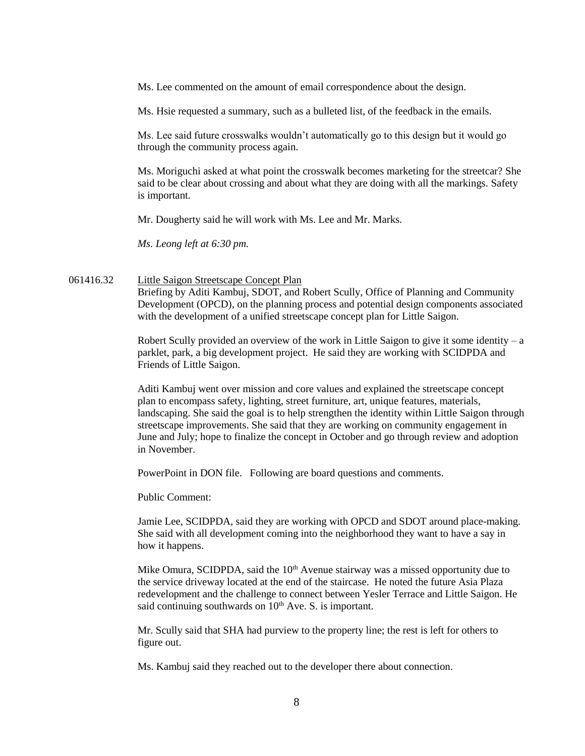Ms. Lee commented on the amount of email correspondence about the design.

Ms. Hsie requested a summary, such as a bulleted list, of the feedback in the emails.

Ms. Lee said future crosswalks wouldn't automatically go to this design but it would go through the community process again.

Ms. Moriguchi asked at what point the crosswalk becomes marketing for the streetcar? She said to be clear about crossing and about what they are doing with all the markings. Safety is important.

Mr. Dougherty said he will work with Ms. Lee and Mr. Marks.

*Ms. Leong left at 6:30 pm.*

### 061416.32 Little Saigon Streetscape Concept Plan

Briefing by Aditi Kambuj, SDOT, and Robert Scully, Office of Planning and Community Development (OPCD), on the planning process and potential design components associated with the development of a unified streetscape concept plan for Little Saigon.

Robert Scully provided an overview of the work in Little Saigon to give it some identity – a parklet, park, a big development project. He said they are working with SCIDPDA and Friends of Little Saigon.

Aditi Kambuj went over mission and core values and explained the streetscape concept plan to encompass safety, lighting, street furniture, art, unique features, materials, landscaping. She said the goal is to help strengthen the identity within Little Saigon through streetscape improvements. She said that they are working on community engagement in June and July; hope to finalize the concept in October and go through review and adoption in November.

PowerPoint in DON file. Following are board questions and comments.

Public Comment:

Jamie Lee, SCIDPDA, said they are working with OPCD and SDOT around place-making. She said with all development coming into the neighborhood they want to have a say in how it happens.

Mike Omura, SCIDPDA, said the  $10<sup>th</sup>$  Avenue stairway was a missed opportunity due to the service driveway located at the end of the staircase. He noted the future Asia Plaza redevelopment and the challenge to connect between Yesler Terrace and Little Saigon. He said continuing southwards on  $10<sup>th</sup>$  Ave. S. is important.

Mr. Scully said that SHA had purview to the property line; the rest is left for others to figure out.

Ms. Kambuj said they reached out to the developer there about connection.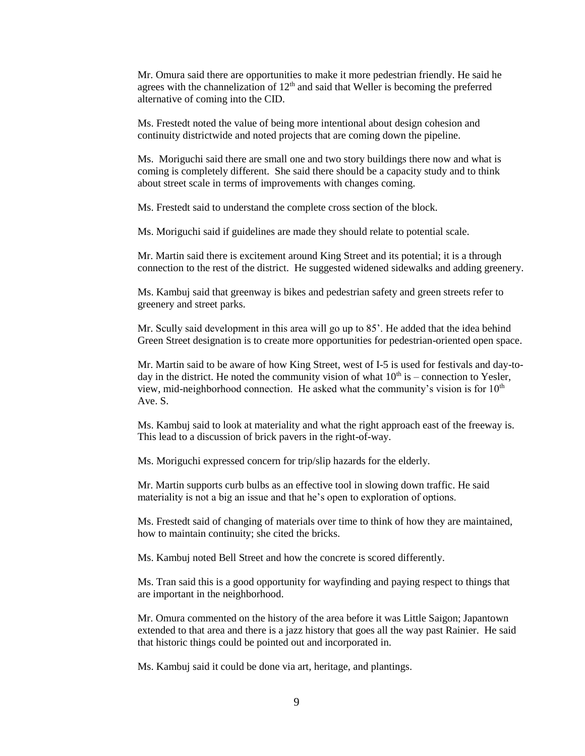Mr. Omura said there are opportunities to make it more pedestrian friendly. He said he agrees with the channelization of  $12<sup>th</sup>$  and said that Weller is becoming the preferred alternative of coming into the CID.

Ms. Frestedt noted the value of being more intentional about design cohesion and continuity districtwide and noted projects that are coming down the pipeline.

Ms. Moriguchi said there are small one and two story buildings there now and what is coming is completely different. She said there should be a capacity study and to think about street scale in terms of improvements with changes coming.

Ms. Frestedt said to understand the complete cross section of the block.

Ms. Moriguchi said if guidelines are made they should relate to potential scale.

Mr. Martin said there is excitement around King Street and its potential; it is a through connection to the rest of the district. He suggested widened sidewalks and adding greenery.

Ms. Kambuj said that greenway is bikes and pedestrian safety and green streets refer to greenery and street parks.

Mr. Scully said development in this area will go up to 85'. He added that the idea behind Green Street designation is to create more opportunities for pedestrian-oriented open space.

Mr. Martin said to be aware of how King Street, west of I-5 is used for festivals and day-today in the district. He noted the community vision of what  $10<sup>th</sup>$  is – connection to Yesler, view, mid-neighborhood connection. He asked what the community's vision is for  $10<sup>th</sup>$ Ave. S.

Ms. Kambuj said to look at materiality and what the right approach east of the freeway is. This lead to a discussion of brick pavers in the right-of-way.

Ms. Moriguchi expressed concern for trip/slip hazards for the elderly.

Mr. Martin supports curb bulbs as an effective tool in slowing down traffic. He said materiality is not a big an issue and that he's open to exploration of options.

Ms. Frestedt said of changing of materials over time to think of how they are maintained, how to maintain continuity; she cited the bricks.

Ms. Kambuj noted Bell Street and how the concrete is scored differently.

Ms. Tran said this is a good opportunity for wayfinding and paying respect to things that are important in the neighborhood.

Mr. Omura commented on the history of the area before it was Little Saigon; Japantown extended to that area and there is a jazz history that goes all the way past Rainier. He said that historic things could be pointed out and incorporated in.

Ms. Kambuj said it could be done via art, heritage, and plantings.